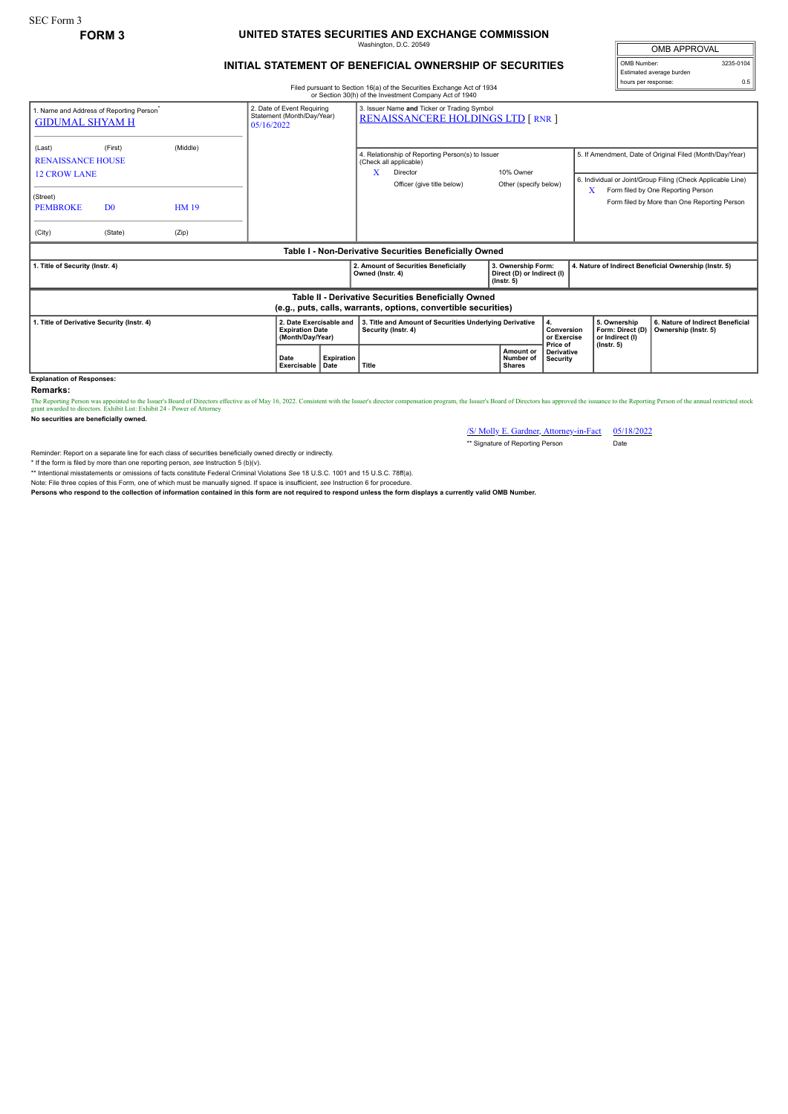### SEC Form 3

# **FORM 3 UNITED STATES SECURITIES AND EXCHANGE COMMISSION** Washington, D.C. 20549

## **INITIAL STATEMENT OF BENEFICIAL OWNERSHIP OF SECURITIES**

OMB APPROVAL OMB Number: 3235-0104 Estimated average burden hours per response: 0.5

#### Filed pursuant to Section 16(a) of the Securities Exchange Act of 1934 or Section 30(h) of the Investment Company Act of 1940

| 1. Name and Address of Reporting Person <sup>*</sup><br><b>GIDUMAL SHYAM H</b>                                        |                                      |                                   | 2. Date of Event Requiring<br>Statement (Month/Day/Year)<br>05/16/2022 |                                                  | 3. Issuer Name and Ticker or Trading Symbol<br><b>RENAISSANCERE HOLDINGS LTD [ RNR ]</b> |                                                                                                                      |  |                                                                      |                                             |                                                       |                                                                         |                                                                                                                                                                                                               |
|-----------------------------------------------------------------------------------------------------------------------|--------------------------------------|-----------------------------------|------------------------------------------------------------------------|--------------------------------------------------|------------------------------------------------------------------------------------------|----------------------------------------------------------------------------------------------------------------------|--|----------------------------------------------------------------------|---------------------------------------------|-------------------------------------------------------|-------------------------------------------------------------------------|---------------------------------------------------------------------------------------------------------------------------------------------------------------------------------------------------------------|
| (Last)<br><b>RENAISSANCE HOUSE</b><br><b>12 CROW LANE</b><br>(Street)<br><b>PEMBROKE</b><br>(City)                    | (First)<br>D <sub>0</sub><br>(State) | (Middle)<br><b>HM 19</b><br>(Zip) |                                                                        |                                                  | X                                                                                        | 4. Relationship of Reporting Person(s) to Issuer<br>(Check all applicable)<br>Director<br>Officer (give title below) |  | 10% Owner<br>Other (specify below)                                   |                                             | X                                                     |                                                                         | 5. If Amendment, Date of Original Filed (Month/Day/Year)<br>6. Individual or Joint/Group Filing (Check Applicable Line)<br>Form filed by One Reporting Person<br>Form filed by More than One Reporting Person |
| Table I - Non-Derivative Securities Beneficially Owned                                                                |                                      |                                   |                                                                        |                                                  |                                                                                          |                                                                                                                      |  |                                                                      |                                             |                                                       |                                                                         |                                                                                                                                                                                                               |
| 1. Title of Security (Instr. 4)                                                                                       |                                      |                                   |                                                                        |                                                  | Owned (Instr. 4)                                                                         | 2. Amount of Securities Beneficially                                                                                 |  | 3. Ownership Form:<br>Direct (D) or Indirect (I)<br>$($ lnstr. 5 $)$ |                                             | 4. Nature of Indirect Beneficial Ownership (Instr. 5) |                                                                         |                                                                                                                                                                                                               |
| Table II - Derivative Securities Beneficially Owned<br>(e.g., puts, calls, warrants, options, convertible securities) |                                      |                                   |                                                                        |                                                  |                                                                                          |                                                                                                                      |  |                                                                      |                                             |                                                       |                                                                         |                                                                                                                                                                                                               |
| 1. Title of Derivative Security (Instr. 4)<br><b>Explanation of Responses:</b>                                        |                                      |                                   | 2. Date Exercisable and<br><b>Expiration Date</b><br>(Month/Day/Year)  |                                                  | 3. Title and Amount of Securities Underlying Derivative<br>Security (Instr. 4)           |                                                                                                                      |  |                                                                      | 4.<br>Conversion<br>or Exercise<br>Price of |                                                       | 5. Ownership<br>Form: Direct (D)<br>or Indirect (I)<br>$($ lnstr. 5 $)$ | 6. Nature of Indirect Beneficial<br>Ownership (Instr. 5)                                                                                                                                                      |
|                                                                                                                       |                                      |                                   | Date                                                                   | <b>Expiration</b><br>Title<br>Exercisable   Date |                                                                                          |                                                                                                                      |  | Amount or<br>Number of<br><b>Shares</b>                              | <b>Derivative</b><br>Security               |                                                       |                                                                         |                                                                                                                                                                                                               |

**Remarks:**

The Reporting Person was appointed to the Issuer's Board of Directors effective as of May 16, 2022. Consistent with the Issuer's director compensation program, the Issuer's Board of Directors has approved the issuance to t

**No securities are beneficially owned.**

/S/ Molly E. Gardner, Attorney-in-Fact 05/18/2022 \*\* Signature of Reporting Person

Reminder: Report on a separate line for each class of securities beneficially owned directly or indirectly.

\* If the form is filed by more than one reporting person, see Instruction 5 (b)(v).<br>\*\* Intentional misstatements or omissions of facts constitute Federal Criminal Violations See 18 U.S.C. 1001 and 15 U.S.C. 78ff(a). Note: File three copies of this Form, one of which must be manually signed. If space is insufficient, *see* Instruction 6 for procedure.

**Persons who respond to the collection of information contained in this form are not required to respond unless the form displays a currently valid OMB Number.**